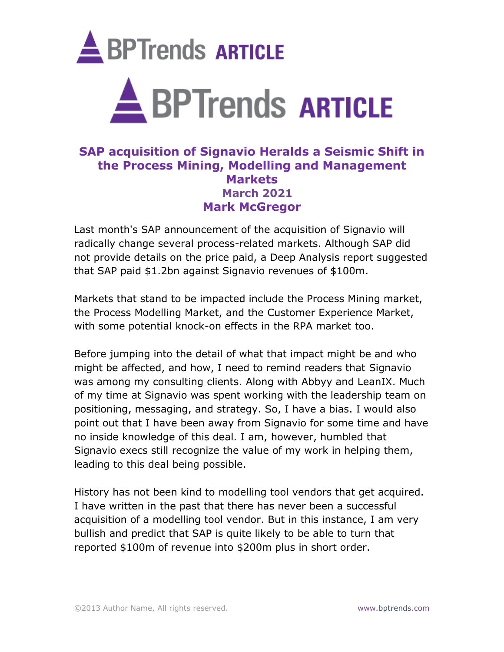

# **SAP acquisition of Signavio Heralds a Seismic Shift in the Process Mining, Modelling and Management Markets March 2021 Mark McGregor**

Last month's SAP announcement of the acquisition of Signavio will radically change several process-related markets. Although SAP did not provide details on the price paid, a Deep Analysis report suggested that SAP paid \$1.2bn against Signavio revenues of \$100m.

Markets that stand to be impacted include the Process Mining market, the Process Modelling Market, and the Customer Experience Market, with some potential knock-on effects in the RPA market too.

Before jumping into the detail of what that impact might be and who might be affected, and how, I need to remind readers that Signavio was among my consulting clients. Along with Abbyy and LeanIX. Much of my time at Signavio was spent working with the leadership team on positioning, messaging, and strategy. So, I have a bias. I would also point out that I have been away from Signavio for some time and have no inside knowledge of this deal. I am, however, humbled that Signavio execs still recognize the value of my work in helping them, leading to this deal being possible.

History has not been kind to modelling tool vendors that get acquired. I have written in the past that there has never been a successful acquisition of a modelling tool vendor. But in this instance, I am very bullish and predict that SAP is quite likely to be able to turn that reported \$100m of revenue into \$200m plus in short order.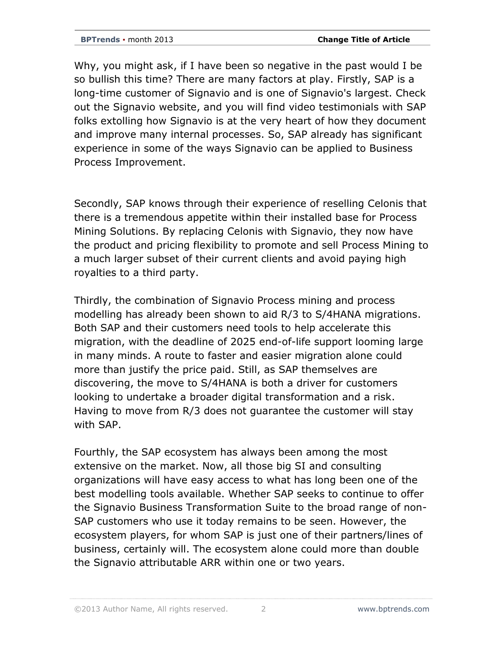Why, you might ask, if I have been so negative in the past would I be so bullish this time? There are many factors at play. Firstly, SAP is a long-time customer of Signavio and is one of Signavio's largest. Check out the Signavio website, and you will find video testimonials with SAP folks extolling how Signavio is at the very heart of how they document and improve many internal processes. So, SAP already has significant experience in some of the ways Signavio can be applied to Business Process Improvement.

Secondly, SAP knows through their experience of reselling Celonis that there is a tremendous appetite within their installed base for Process Mining Solutions. By replacing Celonis with Signavio, they now have the product and pricing flexibility to promote and sell Process Mining to a much larger subset of their current clients and avoid paying high royalties to a third party.

Thirdly, the combination of Signavio Process mining and process modelling has already been shown to aid R/3 to S/4HANA migrations. Both SAP and their customers need tools to help accelerate this migration, with the deadline of 2025 end-of-life support looming large in many minds. A route to faster and easier migration alone could more than justify the price paid. Still, as SAP themselves are discovering, the move to S/4HANA is both a driver for customers looking to undertake a broader digital transformation and a risk. Having to move from R/3 does not guarantee the customer will stay with SAP.

Fourthly, the SAP ecosystem has always been among the most extensive on the market. Now, all those big SI and consulting organizations will have easy access to what has long been one of the best modelling tools available. Whether SAP seeks to continue to offer the Signavio Business Transformation Suite to the broad range of non-SAP customers who use it today remains to be seen. However, the ecosystem players, for whom SAP is just one of their partners/lines of business, certainly will. The ecosystem alone could more than double the Signavio attributable ARR within one or two years.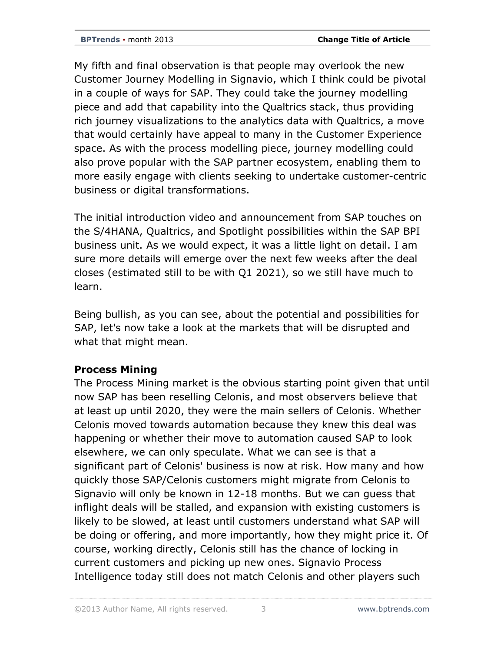My fifth and final observation is that people may overlook the new Customer Journey Modelling in Signavio, which I think could be pivotal in a couple of ways for SAP. They could take the journey modelling piece and add that capability into the Qualtrics stack, thus providing rich journey visualizations to the analytics data with Qualtrics, a move that would certainly have appeal to many in the Customer Experience space. As with the process modelling piece, journey modelling could also prove popular with the SAP partner ecosystem, enabling them to more easily engage with clients seeking to undertake customer-centric business or digital transformations.

The initial introduction video and announcement from SAP touches on the S/4HANA, Qualtrics, and Spotlight possibilities within the SAP BPI business unit. As we would expect, it was a little light on detail. I am sure more details will emerge over the next few weeks after the deal closes (estimated still to be with Q1 2021), so we still have much to learn.

Being bullish, as you can see, about the potential and possibilities for SAP, let's now take a look at the markets that will be disrupted and what that might mean.

## **Process Mining**

The Process Mining market is the obvious starting point given that until now SAP has been reselling Celonis, and most observers believe that at least up until 2020, they were the main sellers of Celonis. Whether Celonis moved towards automation because they knew this deal was happening or whether their move to automation caused SAP to look elsewhere, we can only speculate. What we can see is that a significant part of Celonis' business is now at risk. How many and how quickly those SAP/Celonis customers might migrate from Celonis to Signavio will only be known in 12-18 months. But we can guess that inflight deals will be stalled, and expansion with existing customers is likely to be slowed, at least until customers understand what SAP will be doing or offering, and more importantly, how they might price it. Of course, working directly, Celonis still has the chance of locking in current customers and picking up new ones. Signavio Process Intelligence today still does not match Celonis and other players such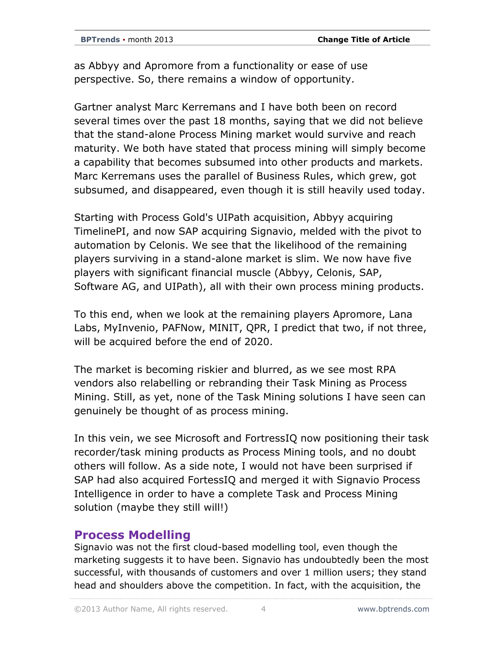as Abbyy and Apromore from a functionality or ease of use perspective. So, there remains a window of opportunity.

Gartner analyst Marc Kerremans and I have both been on record several times over the past 18 months, saying that we did not believe that the stand-alone Process Mining market would survive and reach maturity. We both have stated that process mining will simply become a capability that becomes subsumed into other products and markets. Marc Kerremans uses the parallel of Business Rules, which grew, got subsumed, and disappeared, even though it is still heavily used today.

Starting with Process Gold's UIPath acquisition, Abbyy acquiring TimelinePI, and now SAP acquiring Signavio, melded with the pivot to automation by Celonis. We see that the likelihood of the remaining players surviving in a stand-alone market is slim. We now have five players with significant financial muscle (Abbyy, Celonis, SAP, Software AG, and UIPath), all with their own process mining products.

To this end, when we look at the remaining players Apromore, Lana Labs, MyInvenio, PAFNow, MINIT, QPR, I predict that two, if not three, will be acquired before the end of 2020.

The market is becoming riskier and blurred, as we see most RPA vendors also relabelling or rebranding their Task Mining as Process Mining. Still, as yet, none of the Task Mining solutions I have seen can genuinely be thought of as process mining.

In this vein, we see Microsoft and FortressIQ now positioning their task recorder/task mining products as Process Mining tools, and no doubt others will follow. As a side note, I would not have been surprised if SAP had also acquired FortessIQ and merged it with Signavio Process Intelligence in order to have a complete Task and Process Mining solution (maybe they still will!)

## **Process Modelling**

Signavio was not the first cloud-based modelling tool, even though the marketing suggests it to have been. Signavio has undoubtedly been the most successful, with thousands of customers and over 1 million users; they stand head and shoulders above the competition. In fact, with the acquisition, the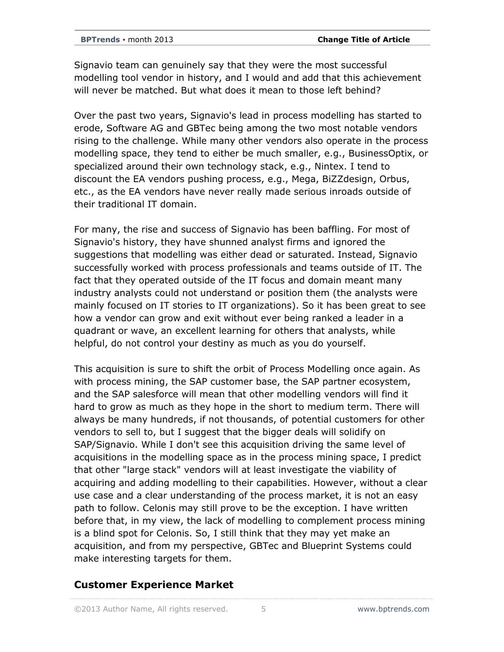Signavio team can genuinely say that they were the most successful modelling tool vendor in history, and I would and add that this achievement will never be matched. But what does it mean to those left behind?

Over the past two years, Signavio's lead in process modelling has started to erode, Software AG and GBTec being among the two most notable vendors rising to the challenge. While many other vendors also operate in the process modelling space, they tend to either be much smaller, e.g., BusinessOptix, or specialized around their own technology stack, e.g., Nintex. I tend to discount the EA vendors pushing process, e.g., Mega, BiZZdesign, Orbus, etc., as the EA vendors have never really made serious inroads outside of their traditional IT domain.

For many, the rise and success of Signavio has been baffling. For most of Signavio's history, they have shunned analyst firms and ignored the suggestions that modelling was either dead or saturated. Instead, Signavio successfully worked with process professionals and teams outside of IT. The fact that they operated outside of the IT focus and domain meant many industry analysts could not understand or position them (the analysts were mainly focused on IT stories to IT organizations). So it has been great to see how a vendor can grow and exit without ever being ranked a leader in a quadrant or wave, an excellent learning for others that analysts, while helpful, do not control your destiny as much as you do yourself.

This acquisition is sure to shift the orbit of Process Modelling once again. As with process mining, the SAP customer base, the SAP partner ecosystem, and the SAP salesforce will mean that other modelling vendors will find it hard to grow as much as they hope in the short to medium term. There will always be many hundreds, if not thousands, of potential customers for other vendors to sell to, but I suggest that the bigger deals will solidify on SAP/Signavio. While I don't see this acquisition driving the same level of acquisitions in the modelling space as in the process mining space, I predict that other "large stack" vendors will at least investigate the viability of acquiring and adding modelling to their capabilities. However, without a clear use case and a clear understanding of the process market, it is not an easy path to follow. Celonis may still prove to be the exception. I have written before that, in my view, the lack of modelling to complement process mining is a blind spot for Celonis. So, I still think that they may yet make an acquisition, and from my perspective, GBTec and Blueprint Systems could make interesting targets for them.

#### **Customer Experience Market**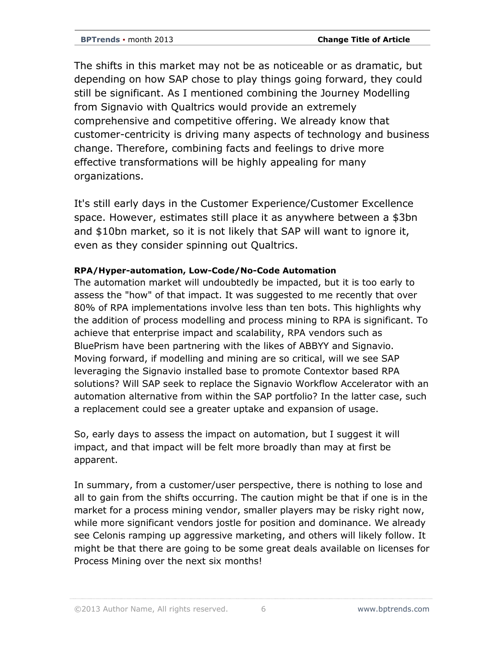The shifts in this market may not be as noticeable or as dramatic, but depending on how SAP chose to play things going forward, they could still be significant. As I mentioned combining the Journey Modelling from Signavio with Qualtrics would provide an extremely comprehensive and competitive offering. We already know that customer-centricity is driving many aspects of technology and business change. Therefore, combining facts and feelings to drive more effective transformations will be highly appealing for many organizations.

It's still early days in the Customer Experience/Customer Excellence space. However, estimates still place it as anywhere between a \$3bn and \$10bn market, so it is not likely that SAP will want to ignore it, even as they consider spinning out Qualtrics.

#### **RPA/Hyper-automation, Low-Code/No-Code Automation**

The automation market will undoubtedly be impacted, but it is too early to assess the "how" of that impact. It was suggested to me recently that over 80% of RPA implementations involve less than ten bots. This highlights why the addition of process modelling and process mining to RPA is significant. To achieve that enterprise impact and scalability, RPA vendors such as BluePrism have been partnering with the likes of ABBYY and Signavio. Moving forward, if modelling and mining are so critical, will we see SAP leveraging the Signavio installed base to promote Contextor based RPA solutions? Will SAP seek to replace the Signavio Workflow Accelerator with an automation alternative from within the SAP portfolio? In the latter case, such a replacement could see a greater uptake and expansion of usage.

So, early days to assess the impact on automation, but I suggest it will impact, and that impact will be felt more broadly than may at first be apparent.

In summary, from a customer/user perspective, there is nothing to lose and all to gain from the shifts occurring. The caution might be that if one is in the market for a process mining vendor, smaller players may be risky right now, while more significant vendors jostle for position and dominance. We already see Celonis ramping up aggressive marketing, and others will likely follow. It might be that there are going to be some great deals available on licenses for Process Mining over the next six months!